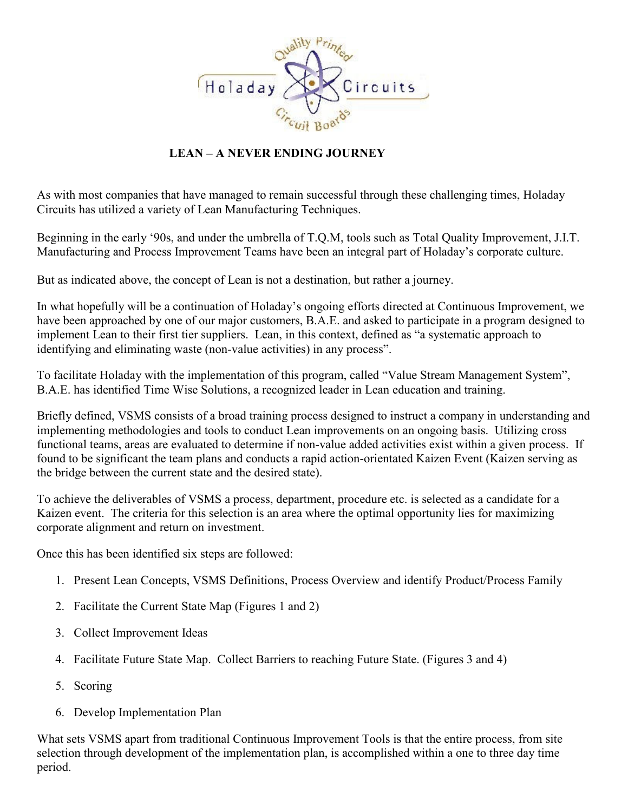

## **LEAN – A NEVER ENDING JOURNEY**

As with most companies that have managed to remain successful through these challenging times, Holaday Circuits has utilized a variety of Lean Manufacturing Techniques.

Beginning in the early '90s, and under the umbrella of T.Q.M, tools such as Total Quality Improvement, J.I.T. Manufacturing and Process Improvement Teams have been an integral part of Holaday's corporate culture.

But as indicated above, the concept of Lean is not a destination, but rather a journey.

In what hopefully will be a continuation of Holaday's ongoing efforts directed at Continuous Improvement, we have been approached by one of our major customers, B.A.E. and asked to participate in a program designed to implement Lean to their first tier suppliers. Lean, in this context, defined as "a systematic approach to identifying and eliminating waste (non-value activities) in any process".

To facilitate Holaday with the implementation of this program, called "Value Stream Management System", B.A.E. has identified Time Wise Solutions, a recognized leader in Lean education and training.

Briefly defined, VSMS consists of a broad training process designed to instruct a company in understanding and implementing methodologies and tools to conduct Lean improvements on an ongoing basis. Utilizing cross functional teams, areas are evaluated to determine if non-value added activities exist within a given process. If found to be significant the team plans and conducts a rapid action-orientated Kaizen Event (Kaizen serving as the bridge between the current state and the desired state).

To achieve the deliverables of VSMS a process, department, procedure etc. is selected as a candidate for a Kaizen event. The criteria for this selection is an area where the optimal opportunity lies for maximizing corporate alignment and return on investment.

Once this has been identified six steps are followed:

- 1. Present Lean Concepts, VSMS Definitions, Process Overview and identify Product/Process Family
- 2. Facilitate the Current State Map (Figures 1 and 2)
- 3. Collect Improvement Ideas
- 4. Facilitate Future State Map. Collect Barriers to reaching Future State. (Figures 3 and 4)
- 5. Scoring
- 6. Develop Implementation Plan

What sets VSMS apart from traditional Continuous Improvement Tools is that the entire process, from site selection through development of the implementation plan, is accomplished within a one to three day time period.